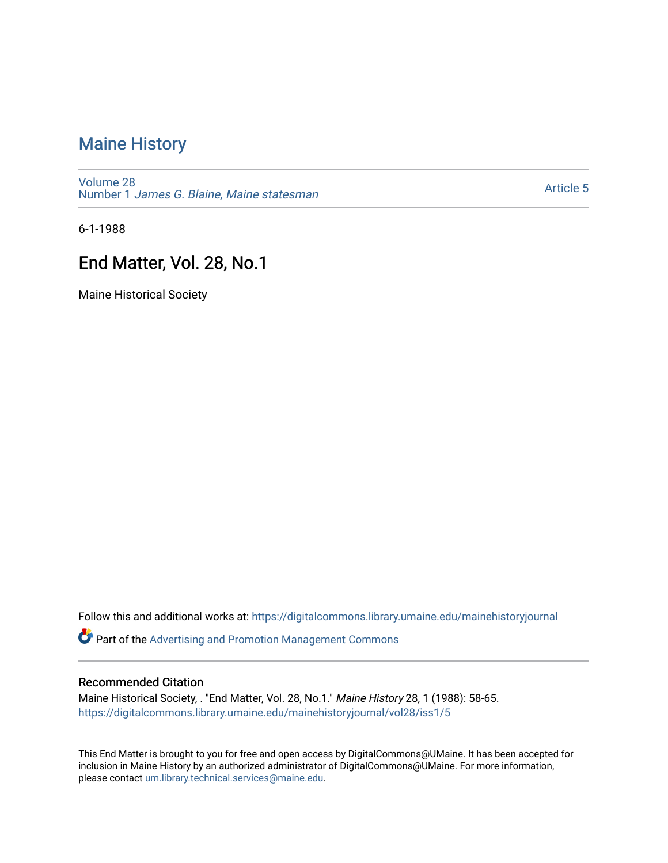#### [Maine History](https://digitalcommons.library.umaine.edu/mainehistoryjournal)

[Volume 28](https://digitalcommons.library.umaine.edu/mainehistoryjournal/vol28) Number 1 [James G. Blaine, Maine statesman](https://digitalcommons.library.umaine.edu/mainehistoryjournal/vol28/iss1) 

[Article 5](https://digitalcommons.library.umaine.edu/mainehistoryjournal/vol28/iss1/5) 

6-1-1988

#### End Matter, Vol. 28, No.1

Maine Historical Society

Follow this and additional works at: [https://digitalcommons.library.umaine.edu/mainehistoryjournal](https://digitalcommons.library.umaine.edu/mainehistoryjournal?utm_source=digitalcommons.library.umaine.edu%2Fmainehistoryjournal%2Fvol28%2Fiss1%2F5&utm_medium=PDF&utm_campaign=PDFCoverPages) 

**Part of the Advertising and Promotion Management Commons** 

#### Recommended Citation

Maine Historical Society, . "End Matter, Vol. 28, No.1." Maine History 28, 1 (1988): 58-65. [https://digitalcommons.library.umaine.edu/mainehistoryjournal/vol28/iss1/5](https://digitalcommons.library.umaine.edu/mainehistoryjournal/vol28/iss1/5?utm_source=digitalcommons.library.umaine.edu%2Fmainehistoryjournal%2Fvol28%2Fiss1%2F5&utm_medium=PDF&utm_campaign=PDFCoverPages)

This End Matter is brought to you for free and open access by DigitalCommons@UMaine. It has been accepted for inclusion in Maine History by an authorized administrator of DigitalCommons@UMaine. For more information, please contact [um.library.technical.services@maine.edu.](mailto:um.library.technical.services@maine.edu)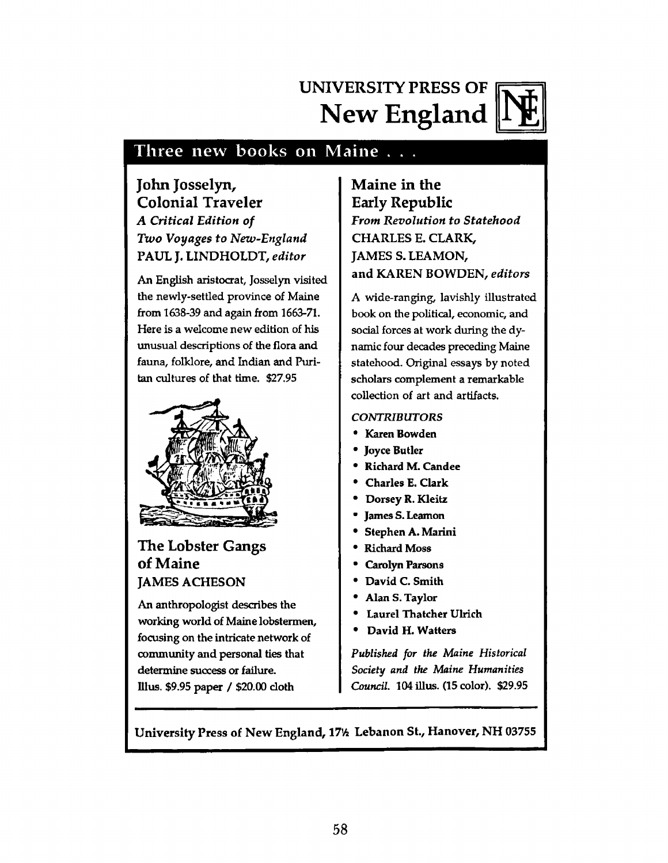### **UNIVERSITY PRESS OF New England**



#### Three new books on Maine . . .

**John Josselyn, Colonial Traveler** *A Critical Edition of Two Voyages to New-England* **PAUL J. LINDHOLDT,** *editor*

An English aristocrat, Josselyn visited the newly-settled province of Maine from 1638-39 and again from 1663-71. Here is a welcome new edition of his unusual descriptions of the flora and fauna, folklore, and Indian and Puritan cultures of that time. \$27.95



**The Lobster Gangs of Maine JAMES ACHESON**

An anthropologist describes the working world of Maine lobstermen, focusing on the intricate network of community and personal ties that determine success or failure, lllus. \$9.95 paper / \$20.00 doth

**Maine in the Early Republic** *From Revolution to Statehood* **CHARLES E. CLARK, JAMES S.LEAMON, and KAREN BOWDEN,** *editors*

*A* wide-ranging, lavishly illustrated book on the political, economic, and social forces at work during the dynamic four decades preceding Maine statehood. Original essays by noted scholars complement a remarkable collection of art and artifacts.

#### *CONTRIBUTORS*

- **9 Karen Bowden**
- **\* Joyce Butler**
- **\* Richard M. Can dee**
- **\* Charles E. Clark**
- **\* Dorsey R. Kleitz**
- **\* James S. Leamon**
- **9 Stephen A. Marini**
- **9 Richard Moss**
- **9 Carolyn Parsons**
- **9 David C. Smith**
- **9 Alan S. Taylor**
- **9 Laurel Thatcher Ulrich**
- **9 David H. Watters**

*Published for the Maine Historical Society and the Maine Humanities Council.* **104 illus. (15 color). \$29.95**

**University Press of New England, 17% Lebanon St., Hanover, NH 03755**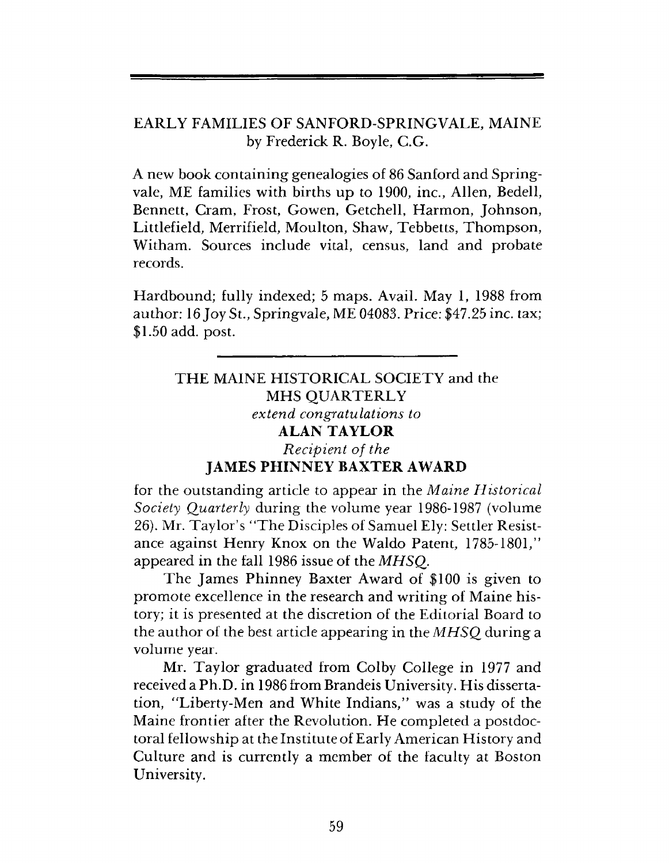#### EARLY FAMILIES OF SANFORD-SPRINGVALE, MAINE by Frederick R. Boyle, C.G.

A new book containing genealogies of 86 Sanford and Springvale, ME families with births up to 1900, inc., Allen, Bedell, Bennett, Cram, Frost, Gowen, Getchell, Harmon, Johnson, Littlefield, Merrifield, Moulton, Shaw, Tebbetts, Thompson, Witham. Sources include vital, census, land and probate records.

Hardbound; fully indexed; 5 maps. Avail. May 1, 1988 from author: 16 Joy St., Springvale, ME 04083. Price: \$47.25 inc. tax; \$1.50 add. post.

THE MAINE HISTORICAL SOCIETY and the MHS QUARTERLY *extend congratulations to* ALAN TAYLOR *Recipient of the* JAMES PHINNEY BAXTER AWARD

for the outstanding article to appear in the *M aine H istorical Society Quarterly* during the volume year 1986-1987 (volume 26). Mr. Taylor's "The Disciples of Samuel Ely: Settler Resistance against Henry Knox on the Waldo Patent, 1785-1801," appeared in the fall 1986 issue of the *MHSQ.*

The James Phinney Baxter Award of \$100 is given to promote excellence in the research and writing of Maine history; it is presented at the discretion of the Editorial Board to the author of the best article appearing in the *MHSQ* during a volume year.

Mr. Taylor graduated from Colby College in 1977 and received a Ph.D. in 1986 from Brandeis University. His dissertation, "Liberty-Men and White Indians," was a study of the Maine frontier after the Revolution. He completed a postdoctoral fellowship at the Institute of Early American History and Culture and is currently a member of the faculty at Boston University.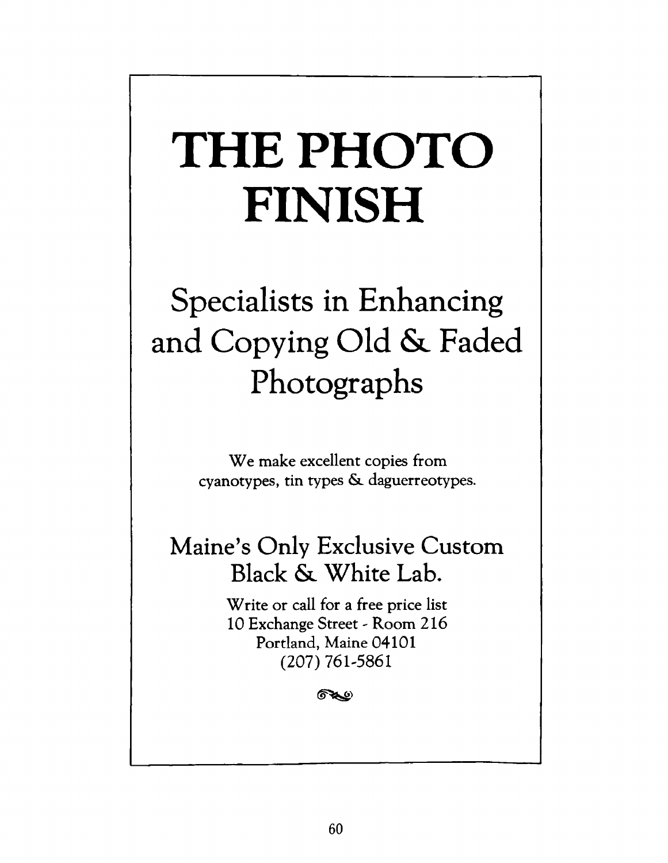# **THE PHOTO FINISH**

## **Specialists in Enhancing and Copying Old &. Faded Photographs**

We make excellent copies from **cyanotypes, tin types &. daguerreotypes.**

## **Maine's Only Exclusive Custom Black & White Lab.**

**W rite or call for a free price list 10 Exchange Street - Room 216 Portland, Maine 04101 (20 7 ) 761-5861**

67.C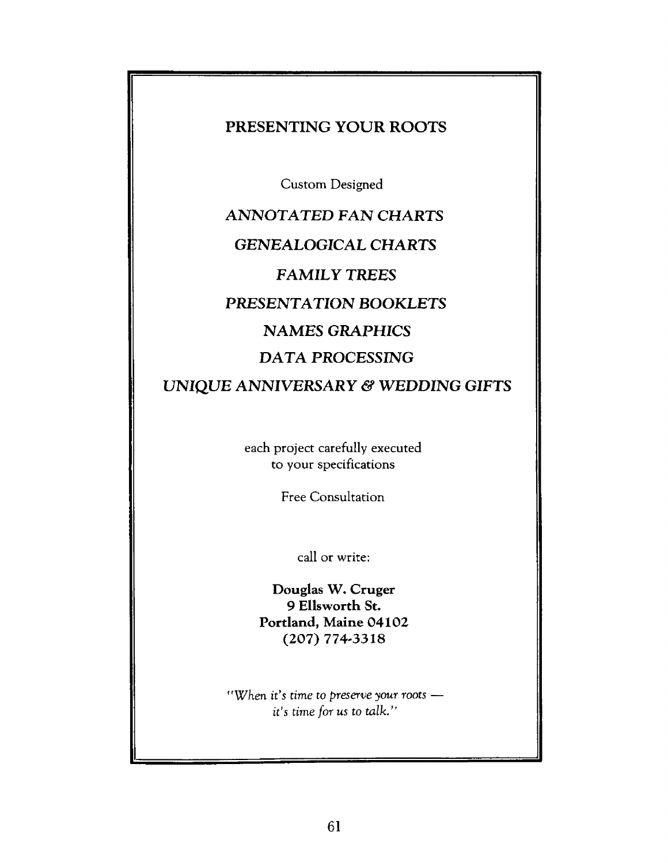#### **PRESENTING YOUR ROOTS**

Custom Designed

## **ANNOTATED FAN CHARTS GENEALOGICAL CHARTS FAMILY TREES PRESENTATION** *BOOKLETS* **NAMES** *GRAPHICS DATA* **PROCESSING**

#### **UNIQUE ANNIVERSARY & WEDDING GIFTS**

each project carefully executed to your specifications

Free Consultation

call or write:

Douglas W. Cruger 9 Ellsworth St. Portland, Maine 04102 (207) 774-3318

*"W hen it's time to preserve your roots it's time for us to talk."*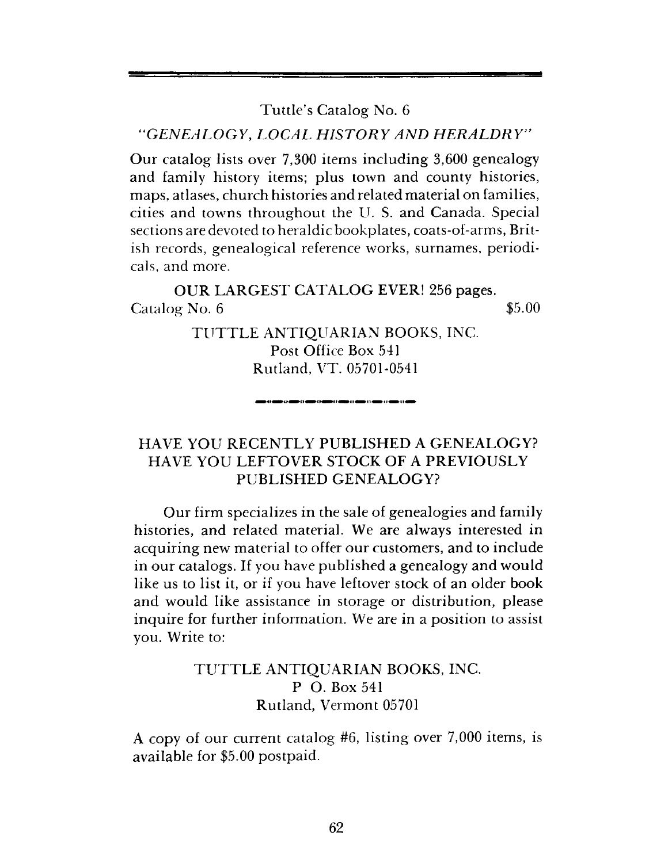Tuttle's Catalog No. 6

"*GEN EALO GY*, *LO CA L H ISTO R Y AND H ERA LD RY"*

Our catalog lists over 7,300 items including 3,600 genealogy and family history items; plus town and county histories, maps, atlases, church histories and related material on families, cities and towns throughout the U. S. and Canada. Special sections are devoted to heraldic bookplates, coats-of-arms, British records, genealogical reference works, surnames, periodicals, and more.

OUR LARGEST CATALOG EVER! 256 pages.  $\alpha$  Catalog No. 6  $\qquad$  \$5.00

> TUTTLE ANTIQUARIAN BOOKS, INC. Post Office Box 541 Rutland, VT. 05701-0541

#### HAVE YOU RECENTLY PUBLISHED A GENEALOGY? HAVE YOU LEFTO VER STOCK OF A PREVIOUSLY PUBLISHED GENEALOGY?

Our firm specializes in the sale of genealogies and family histories, and related material. We are always interested in acquiring new material to offer our customers, and to include in our catalogs. If you have published a genealogy and would like us to list it, or if you have leftover stock of an older book and would like assistance in storage or distribution, please inquire for further information. We are in a position to assist you. Write to:

#### TUTTLE ANTIQUARIAN BOOKS, INC. P O. Box 541 Rutland, Vermont 05701

A copy of our current catalog #6, listing over 7,000 items, is available for \$5.00 postpaid.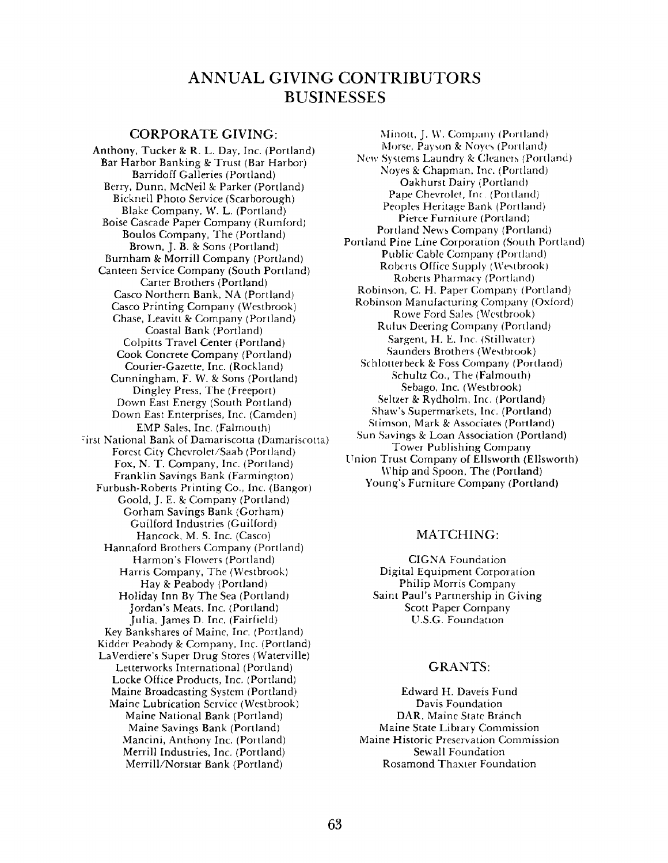#### **ANNUAL GIVING CONTRIBUTORS BUSINESSES**

#### CORPORATE GIVING:

Anthony, Tucker & R. L. Day, Inc. (Portland) Bar Harbor Banking & Trust (Bar Harbor) Barridoff Galleries (Portland) Berry, Dunn, McNeil & Parker (Portland) Bicknell Photo Service (Scarborough) Blake Company, W. L. (Portland) Boise Cascade Paper Company (Rumford) Boulos Company, The (Portland) Brown, J. B. & Sons (Portland) Burnham & Morrill Company (Portland) Canteen Service Company (South Portland) Carter Brothers (Portland) Casco Northern Bank, NA (Portland) Casco Printing Company (Westbrook) Chase, Leavitt & Company (Portland) Coastal Bank (Portland) Colpitts Travel Center (Portland) Cook Concrete Company (Portland) Courier-Gazette, Inc. (Rockland) Cunningham, F. W. & Sons (Portland) Dingley Press, The (Freeport) Down East Energy (South Portland) Down East Enterprises, Inc. (Camden) EMP Sales, Inc. (Falmouth) First National Bank of Damariscotta (Damariscotta) Forest City Chevrolet/Saab (Portland) Fox, N. T. Company, Inc. (Portland) Franklin Savings Bank (Farmington) Furbush-Roberts Printing Co., Inc. (Bangor) Goold, J. E. & Company (Portland) Gorham Savings Bank (Gorham) Guilford Industries (Guilford) Hancock, M. S. Inc. (Casco) Hannaford Brothers Company (Portland) Harmon's Flowers (Portland) Harris Company, The (Westbrook) Hay & Peabody (Portland) Holiday Inn By The Sea (Portland) Jordan's Meats, Inc. (Portland) Julia, James D. Inc. (Fairfield) Key Bankshares of Maine, Inc. (Portland) Kidder Peabody & Company, Inc. (Portland) LaVerdiere's Super Drug Stores (Waterville) Letterworks International (Portland) Locke Office Products, Inc. (Portland) Maine Broadcasting System (Portland) Maine Lubrication Service (Westbrook) Maine National Bank (Portland) Maine Savings Bank (Portland) Mancini, Anthony Inc. (Portland) Merrill Industries, Inc. (Portland) Merrill/Norstar Bank (Portland)

Minolt, J. W. Company (Portland) Morse, Payson & Noyes (Portland) New Systems Laundry 8c Cleaners (Portland) Noyes *8c* Chapman, Inc. (Portland) Oakhurst Dairy (Portland) Pape Chevrolet, Inc. (Portland) Peoples Heritage Bank (Portland) Pierce Furniture (Portland) Portland News Company (Portland) Portland Pine Line Corporation (South Portland) Public Cable Company (Portland) Roberts Office Supply (Westbrook) Roberts Pharmacy (Portland) Robinson, C. H. Paper Company (Portland) Robinson Manufacturing Company (Oxford) Rowe Ford Sales (Westbrook) Rufus Deering Company (Portland) Sargent, H. E. Inc. (Stillwater) Saunders Brothers (Westbrook) Schlotterbeck & Foss Company (Portland) Schultz Co., The (Falmouth) Sebago, Inc. (Westbrook) Seltzer & Rydholm, Inc. (Portland) Shaw's Supermarkets, Inc. (Portland) Stimson, Mark & Associates (Portland) Sun Savings & Loan Association (Portland) Tower Publishing Company Union Trust Company of Ellsworth (Ellsworth) Whip and Spoon, The (Portland) Young's Furniture Company (Portland)

#### MATCHING:

CIGNA Foundation Digital Equipment Corporation Philip Morris Company Saint Paul's Partnership in Giving Scott Paper Company U.S.G. Foundation

#### **GRANTS:**

Edward H. Daveis Fund Davis Foundation DAR, Maine State Branch Maine State Library Commission Maine Historic Preservation Commission Sewall Foundation Rosamond Thaxter Foundation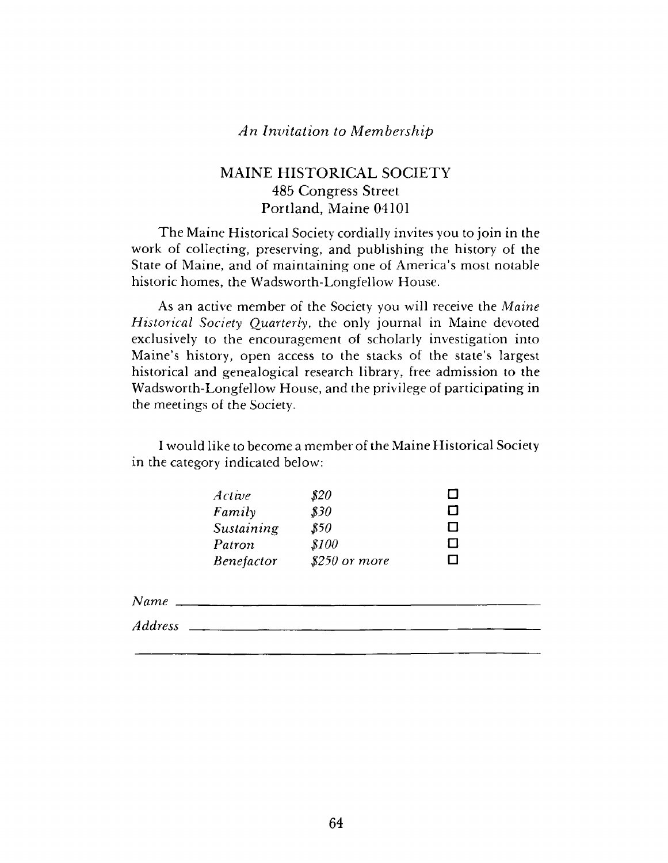#### An Invitation to Membership

#### MAINE HISTORICAL SOCIETY 485 Congress Street Portland, Maine 04101

The Maine Historical Society cordially invites you to join in the work of collecting, preserving, and publishing the history of the State of Maine, and of maintaining one of America's most notable historic homes, the Wadsworth-Longfellow House.

As an active member of the Society you will receive the *Maine Historical Society Quarterly*, the only journal in Maine devoted exclusively to the encouragement of scholarly investigation into Maine's history, open access to the stacks of the state's largest historical and genealogical research library, free admission to the W adsworth-Longfellow House, and the privilege of participating in the meetings of the Society.

I would like to become a member of the Maine Historical Society in the category indicated below:

| \$20           | $\mathbf{I}$ |
|----------------|--------------|
| \$30           | П            |
| \$50           | П            |
| \$100          | П            |
| $$250$ or more | l 1          |
|                |              |

*Name* \_

*Address*